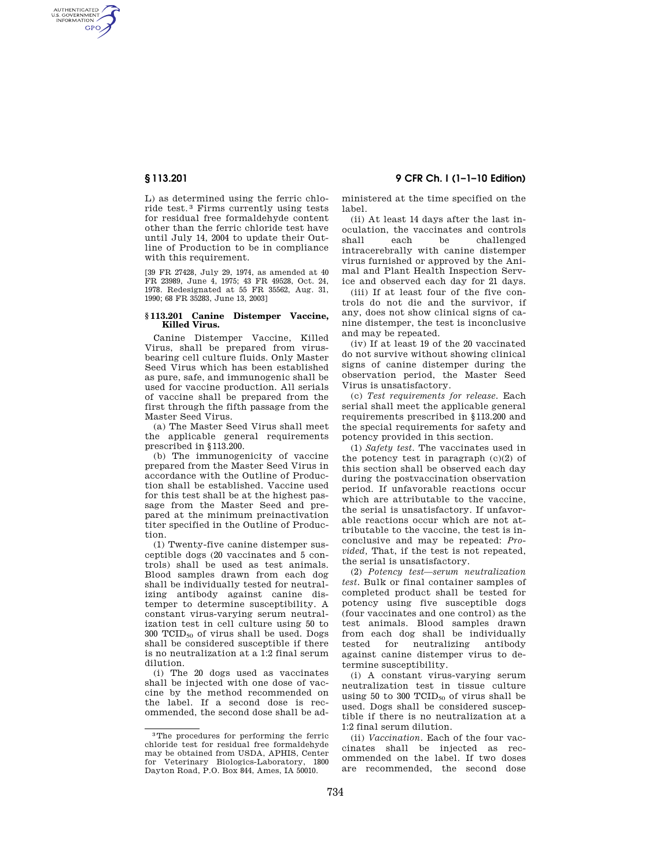AUTHENTICATED<br>U.S. GOVERNMENT<br>INFORMATION **GPO** 

> L) as determined using the ferric chloride test. 3 Firms currently using tests for residual free formaldehyde content other than the ferric chloride test have until July 14, 2004 to update their Outline of Production to be in compliance with this requirement.

[39 FR 27428, July 29, 1974, as amended at 40 FR 23989, June 4, 1975; 43 FR 49528, Oct. 24, 1978. Redesignated at 55 FR 35562, Aug. 31, 1990; 68 FR 35283, June 13, 2003]

## **§ 113.201 Canine Distemper Vaccine, Killed Virus.**

Canine Distemper Vaccine, Killed Virus, shall be prepared from virusbearing cell culture fluids. Only Master Seed Virus which has been established as pure, safe, and immunogenic shall be used for vaccine production. All serials of vaccine shall be prepared from the first through the fifth passage from the Master Seed Virus.

(a) The Master Seed Virus shall meet the applicable general requirements prescribed in §113.200.

(b) The immunogenicity of vaccine prepared from the Master Seed Virus in accordance with the Outline of Production shall be established. Vaccine used for this test shall be at the highest passage from the Master Seed and prepared at the minimum preinactivation titer specified in the Outline of Production.

(1) Twenty-five canine distemper susceptible dogs (20 vaccinates and 5 controls) shall be used as test animals. Blood samples drawn from each dog shall be individually tested for neutralizing antibody against canine distemper to determine susceptibility. A constant virus-varying serum neutralization test in cell culture using 50 to  $300$  TCID<sub>50</sub> of virus shall be used. Dogs shall be considered susceptible if there is no neutralization at a 1:2 final serum dilution.

(i) The 20 dogs used as vaccinates shall be injected with one dose of vaccine by the method recommended on the label. If a second dose is recommended, the second dose shall be ad-

**§ 113.201 9 CFR Ch. I (1–1–10 Edition)** 

ministered at the time specified on the label.

(ii) At least 14 days after the last inoculation, the vaccinates and controls shall each be challenged intracerebrally with canine distemper virus furnished or approved by the Animal and Plant Health Inspection Service and observed each day for 21 days.

(iii) If at least four of the five controls do not die and the survivor, if any, does not show clinical signs of canine distemper, the test is inconclusive and may be repeated.

(iv) If at least 19 of the 20 vaccinated do not survive without showing clinical signs of canine distemper during the observation period, the Master Seed Virus is unsatisfactory.

(c) *Test requirements for release.* Each serial shall meet the applicable general requirements prescribed in §113.200 and the special requirements for safety and potency provided in this section.

(1) *Safety test.* The vaccinates used in the potency test in paragraph  $(c)(2)$  of this section shall be observed each day during the postvaccination observation period. If unfavorable reactions occur which are attributable to the vaccine, the serial is unsatisfactory. If unfavorable reactions occur which are not attributable to the vaccine, the test is inconclusive and may be repeated: *Provided,* That, if the test is not repeated, the serial is unsatisfactory.

(2) *Potency test—serum neutralization test.* Bulk or final container samples of completed product shall be tested for potency using five susceptible dogs (four vaccinates and one control) as the test animals. Blood samples drawn from each dog shall be individually tested for neutralizing antibody against canine distemper virus to determine susceptibility.

(i) A constant virus-varying serum neutralization test in tissue culture using 50 to 300  $TCID_{50}$  of virus shall be used. Dogs shall be considered susceptible if there is no neutralization at a 1:2 final serum dilution.

(ii) *Vaccination.* Each of the four vaccinates shall be injected as recommended on the label. If two doses are recommended, the second dose

<sup>3</sup>The procedures for performing the ferric chloride test for residual free formaldehyde may be obtained from USDA, APHIS, Center for Veterinary Biologics-Laboratory, 1800 Dayton Road, P.O. Box 844, Ames, IA 50010.